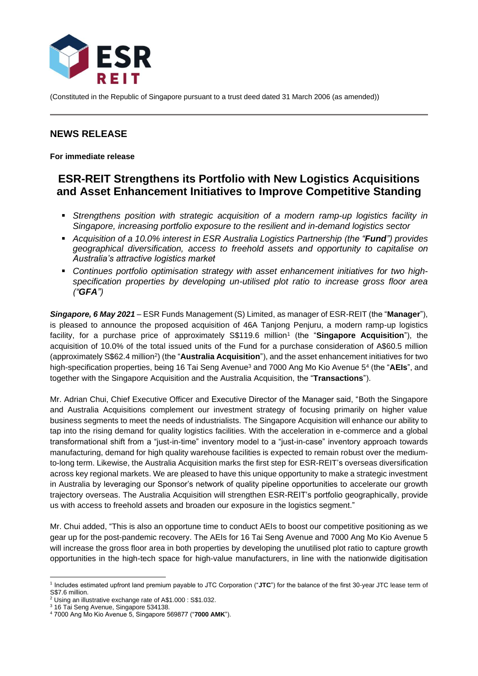

(Constituted in the Republic of Singapore pursuant to a trust deed dated 31 March 2006 (as amended))

## **NEWS RELEASE**

**For immediate release**

# **ESR-REIT Strengthens its Portfolio with New Logistics Acquisitions and Asset Enhancement Initiatives to Improve Competitive Standing**

- *Strengthens position with strategic acquisition of a modern ramp-up logistics facility in Singapore, increasing portfolio exposure to the resilient and in-demand logistics sector*
- *Acquisition of a 10.0% interest in ESR Australia Logistics Partnership (the "Fund") provides geographical diversification, access to freehold assets and opportunity to capitalise on Australia's attractive logistics market*
- *Continues portfolio optimisation strategy with asset enhancement initiatives for two highspecification properties by developing un-utilised plot ratio to increase gross floor area ("GFA")*

*Singapore, 6 May 2021* – ESR Funds Management (S) Limited, as manager of ESR-REIT (the "**Manager**"), is pleased to announce the proposed acquisition of 46A Tanjong Penjuru, a modern ramp-up logistics facility, for a purchase price of approximately S\$119.6 million<sup>1</sup> (the "Singapore Acquisition"), the acquisition of 10.0% of the total issued units of the Fund for a purchase consideration of A\$60.5 million (approximately S\$62.4 million<sup>2</sup>) (the "Australia Acquisition"), and the asset enhancement initiatives for two high-specification properties, being 16 Tai Seng Avenue<sup>3</sup> and 7000 Ang Mo Kio Avenue 5<sup>4</sup> (the "**AEIs**", and together with the Singapore Acquisition and the Australia Acquisition, the "**Transactions**").

Mr. Adrian Chui, Chief Executive Officer and Executive Director of the Manager said, "Both the Singapore and Australia Acquisitions complement our investment strategy of focusing primarily on higher value business segments to meet the needs of industrialists. The Singapore Acquisition will enhance our ability to tap into the rising demand for quality logistics facilities. With the acceleration in e-commerce and a global transformational shift from a "just-in-time" inventory model to a "just-in-case" inventory approach towards manufacturing, demand for high quality warehouse facilities is expected to remain robust over the mediumto-long term. Likewise, the Australia Acquisition marks the first step for ESR-REIT's overseas diversification across key regional markets. We are pleased to have this unique opportunity to make a strategic investment in Australia by leveraging our Sponsor's network of quality pipeline opportunities to accelerate our growth trajectory overseas. The Australia Acquisition will strengthen ESR-REIT's portfolio geographically, provide us with access to freehold assets and broaden our exposure in the logistics segment."

Mr. Chui added, "This is also an opportune time to conduct AEIs to boost our competitive positioning as we gear up for the post-pandemic recovery. The AEIs for 16 Tai Seng Avenue and 7000 Ang Mo Kio Avenue 5 will increase the gross floor area in both properties by developing the unutilised plot ratio to capture growth opportunities in the high-tech space for high-value manufacturers, in line with the nationwide digitisation

<sup>1</sup> Includes estimated upfront land premium payable to JTC Corporation ("**JTC**") for the balance of the first 30-year JTC lease term of S\$7.6 million.

<sup>2</sup> Using an illustrative exchange rate of A\$1.000 : S\$1.032.

<sup>&</sup>lt;sup>3</sup> 16 Tai Seng Avenue, Singapore 534138.

<sup>4</sup> 7000 Ang Mo Kio Avenue 5, Singapore 569877 ("**7000 AMK**").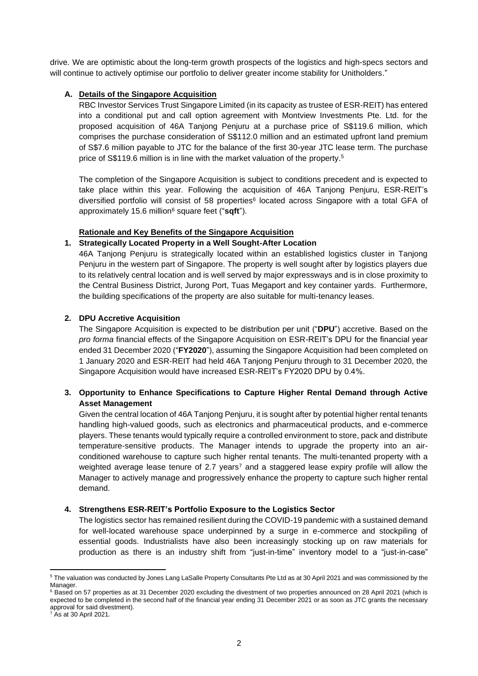drive. We are optimistic about the long-term growth prospects of the logistics and high-specs sectors and will continue to actively optimise our portfolio to deliver greater income stability for Unitholders."

#### **A. Details of the Singapore Acquisition**

RBC Investor Services Trust Singapore Limited (in its capacity as trustee of ESR-REIT) has entered into a conditional put and call option agreement with Montview Investments Pte. Ltd. for the proposed acquisition of 46A Tanjong Penjuru at a purchase price of S\$119.6 million, which comprises the purchase consideration of S\$112.0 million and an estimated upfront land premium of S\$7.6 million payable to JTC for the balance of the first 30-year JTC lease term. The purchase price of S\$119.6 million is in line with the market valuation of the property.<sup>5</sup>

The completion of the Singapore Acquisition is subject to conditions precedent and is expected to take place within this year. Following the acquisition of 46A Tanjong Penjuru, ESR-REIT's diversified portfolio will consist of 58 properties<sup>6</sup> located across Singapore with a total GFA of approximately 15.6 million<sup>6</sup> square feet ("**sqft**").

#### **Rationale and Key Benefits of the Singapore Acquisition**

#### **1. Strategically Located Property in a Well Sought-After Location**

46A Tanjong Penjuru is strategically located within an established logistics cluster in Tanjong Penjuru in the western part of Singapore. The property is well sought after by logistics players due to its relatively central location and is well served by major expressways and is in close proximity to the Central Business District, Jurong Port, Tuas Megaport and key container yards. Furthermore, the building specifications of the property are also suitable for multi-tenancy leases.

#### **2. DPU Accretive Acquisition**

The Singapore Acquisition is expected to be distribution per unit ("**DPU**") accretive. Based on the *pro forma* financial effects of the Singapore Acquisition on ESR-REIT's DPU for the financial year ended 31 December 2020 ("**FY2020**"), assuming the Singapore Acquisition had been completed on 1 January 2020 and ESR-REIT had held 46A Tanjong Penjuru through to 31 December 2020, the Singapore Acquisition would have increased ESR-REIT's FY2020 DPU by 0.4%.

## **3. Opportunity to Enhance Specifications to Capture Higher Rental Demand through Active Asset Management**

Given the central location of 46A Tanjong Penjuru, it is sought after by potential higher rental tenants handling high-valued goods, such as electronics and pharmaceutical products, and e-commerce players. These tenants would typically require a controlled environment to store, pack and distribute temperature-sensitive products. The Manager intends to upgrade the property into an airconditioned warehouse to capture such higher rental tenants. The multi-tenanted property with a weighted average lease tenure of 2.7 years<sup>7</sup> and a staggered lease expiry profile will allow the Manager to actively manage and progressively enhance the property to capture such higher rental demand.

#### **4. Strengthens ESR-REIT's Portfolio Exposure to the Logistics Sector**

The logistics sector has remained resilient during the COVID-19 pandemic with a sustained demand for well-located warehouse space underpinned by a surge in e-commerce and stockpiling of essential goods. Industrialists have also been increasingly stocking up on raw materials for production as there is an industry shift from "just-in-time" inventory model to a "just-in-case"

<sup>5</sup> The valuation was conducted by Jones Lang LaSalle Property Consultants Pte Ltd as at 30 April 2021 and was commissioned by the Manager.

<sup>&</sup>lt;sup>6</sup> Based on 57 properties as at 31 December 2020 excluding the divestment of two properties announced on 28 April 2021 (which is expected to be completed in the second half of the financial year ending 31 December 2021 or as soon as JTC grants the necessary approval for said divestment).

<sup>7</sup> As at 30 April 2021.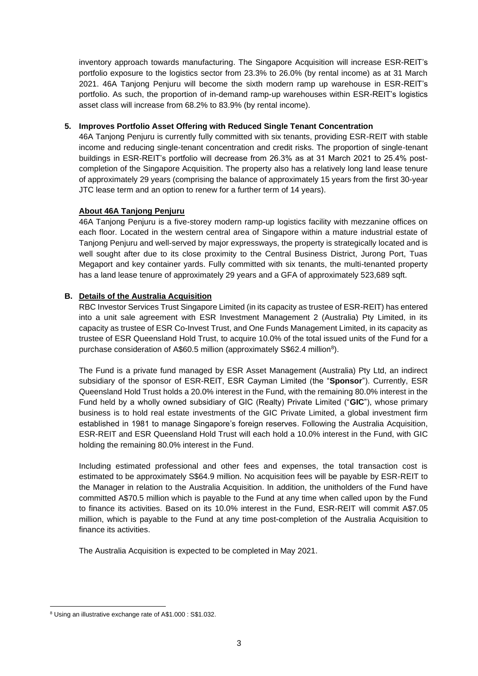inventory approach towards manufacturing. The Singapore Acquisition will increase ESR-REIT's portfolio exposure to the logistics sector from 23.3% to 26.0% (by rental income) as at 31 March 2021. 46A Tanjong Penjuru will become the sixth modern ramp up warehouse in ESR-REIT's portfolio. As such, the proportion of in-demand ramp-up warehouses within ESR-REIT's logistics asset class will increase from 68.2% to 83.9% (by rental income).

#### **5. Improves Portfolio Asset Offering with Reduced Single Tenant Concentration**

46A Tanjong Penjuru is currently fully committed with six tenants, providing ESR-REIT with stable income and reducing single-tenant concentration and credit risks. The proportion of single-tenant buildings in ESR-REIT's portfolio will decrease from 26.3% as at 31 March 2021 to 25.4% postcompletion of the Singapore Acquisition. The property also has a relatively long land lease tenure of approximately 29 years (comprising the balance of approximately 15 years from the first 30-year JTC lease term and an option to renew for a further term of 14 years).

#### **About 46A Tanjong Penjuru**

46A Tanjong Penjuru is a five-storey modern ramp-up logistics facility with mezzanine offices on each floor. Located in the western central area of Singapore within a mature industrial estate of Tanjong Penjuru and well-served by major expressways, the property is strategically located and is well sought after due to its close proximity to the Central Business District, Jurong Port, Tuas Megaport and key container yards. Fully committed with six tenants, the multi-tenanted property has a land lease tenure of approximately 29 years and a GFA of approximately 523,689 sqft.

## **B. Details of the Australia Acquisition**

RBC Investor Services Trust Singapore Limited (in its capacity as trustee of ESR-REIT) has entered into a unit sale agreement with ESR Investment Management 2 (Australia) Pty Limited, in its capacity as trustee of ESR Co-Invest Trust, and One Funds Management Limited, in its capacity as trustee of ESR Queensland Hold Trust, to acquire 10.0% of the total issued units of the Fund for a purchase consideration of A\$60.5 million (approximately S\$62.4 million<sup>8</sup>).

The Fund is a private fund managed by ESR Asset Management (Australia) Pty Ltd, an indirect subsidiary of the sponsor of ESR-REIT, ESR Cayman Limited (the "**Sponsor**"). Currently, ESR Queensland Hold Trust holds a 20.0% interest in the Fund, with the remaining 80.0% interest in the Fund held by a wholly owned subsidiary of GIC (Realty) Private Limited ("**GIC**"), whose primary business is to hold real estate investments of the GIC Private Limited, a global investment firm established in 1981 to manage Singapore's foreign reserves. Following the Australia Acquisition, ESR-REIT and ESR Queensland Hold Trust will each hold a 10.0% interest in the Fund, with GIC holding the remaining 80.0% interest in the Fund.

Including estimated professional and other fees and expenses, the total transaction cost is estimated to be approximately S\$64.9 million. No acquisition fees will be payable by ESR-REIT to the Manager in relation to the Australia Acquisition. In addition, the unitholders of the Fund have committed A\$70.5 million which is payable to the Fund at any time when called upon by the Fund to finance its activities. Based on its 10.0% interest in the Fund, ESR-REIT will commit A\$7.05 million, which is payable to the Fund at any time post-completion of the Australia Acquisition to finance its activities.

The Australia Acquisition is expected to be completed in May 2021.

<sup>8</sup> Using an illustrative exchange rate of A\$1.000 : S\$1.032.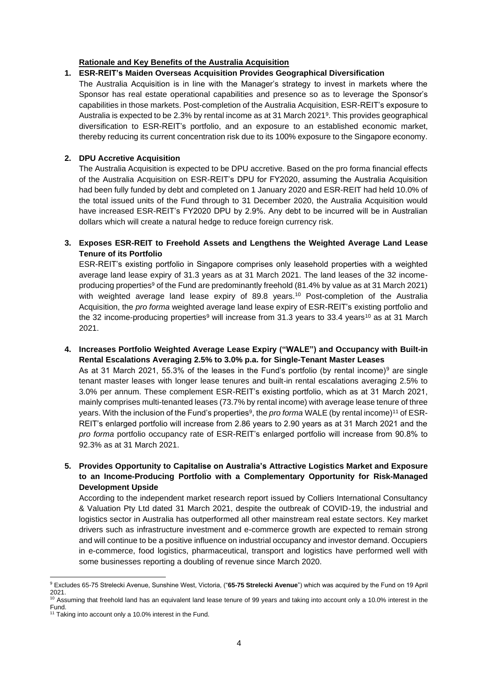#### **Rationale and Key Benefits of the Australia Acquisition**

#### **1. ESR-REIT's Maiden Overseas Acquisition Provides Geographical Diversification**

The Australia Acquisition is in line with the Manager's strategy to invest in markets where the Sponsor has real estate operational capabilities and presence so as to leverage the Sponsor's capabilities in those markets. Post-completion of the Australia Acquisition, ESR-REIT's exposure to Australia is expected to be 2.3% by rental income as at 31 March 2021 9 . This provides geographical diversification to ESR-REIT's portfolio, and an exposure to an established economic market, thereby reducing its current concentration risk due to its 100% exposure to the Singapore economy.

#### **2. DPU Accretive Acquisition**

The Australia Acquisition is expected to be DPU accretive. Based on the pro forma financial effects of the Australia Acquisition on ESR-REIT's DPU for FY2020, assuming the Australia Acquisition had been fully funded by debt and completed on 1 January 2020 and ESR-REIT had held 10.0% of the total issued units of the Fund through to 31 December 2020, the Australia Acquisition would have increased ESR-REIT's FY2020 DPU by 2.9%. Any debt to be incurred will be in Australian dollars which will create a natural hedge to reduce foreign currency risk.

## **3. Exposes ESR-REIT to Freehold Assets and Lengthens the Weighted Average Land Lease Tenure of its Portfolio**

ESR-REIT's existing portfolio in Singapore comprises only leasehold properties with a weighted average land lease expiry of 31.3 years as at 31 March 2021. The land leases of the 32 incomeproducing properties<sup>9</sup> of the Fund are predominantly freehold (81.4% by value as at 31 March 2021) with weighted average land lease expiry of 89.8 years.<sup>10</sup> Post-completion of the Australia Acquisition, the *pro forma* weighted average land lease expiry of ESR-REIT's existing portfolio and the 32 income-producing properties<sup>9</sup> will increase from 31.3 years to 33.4 years<sup>10</sup> as at 31 March 2021.

**4. Increases Portfolio Weighted Average Lease Expiry ("WALE") and Occupancy with Built-in Rental Escalations Averaging 2.5% to 3.0% p.a. for Single-Tenant Master Leases** 

As at 31 March 2021, 55.3% of the leases in the Fund's portfolio (by rental income)<sup>9</sup> are single tenant master leases with longer lease tenures and built-in rental escalations averaging 2.5% to 3.0% per annum. These complement ESR-REIT's existing portfolio, which as at 31 March 2021, mainly comprises multi-tenanted leases (73.7% by rental income) with average lease tenure of three years. With the inclusion of the Fund's properties<sup>9</sup>, the *pro forma* WALE (by rental income)<sup>11</sup> of ESR-REIT's enlarged portfolio will increase from 2.86 years to 2.90 years as at 31 March 2021 and the *pro forma* portfolio occupancy rate of ESR-REIT's enlarged portfolio will increase from 90.8% to 92.3% as at 31 March 2021.

## **5. Provides Opportunity to Capitalise on Australia's Attractive Logistics Market and Exposure to an Income-Producing Portfolio with a Complementary Opportunity for Risk-Managed Development Upside**

According to the independent market research report issued by Colliers International Consultancy & Valuation Pty Ltd dated 31 March 2021, despite the outbreak of COVID-19, the industrial and logistics sector in Australia has outperformed all other mainstream real estate sectors. Key market drivers such as infrastructure investment and e-commerce growth are expected to remain strong and will continue to be a positive influence on industrial occupancy and investor demand. Occupiers in e-commerce, food logistics, pharmaceutical, transport and logistics have performed well with some businesses reporting a doubling of revenue since March 2020.

<sup>9</sup> Excludes 65-75 Strelecki Avenue, Sunshine West, Victoria, ("**65-75 Strelecki Avenue**") which was acquired by the Fund on 19 April 2021.

 $10$  Assuming that freehold land has an equivalent land lease tenure of 99 years and taking into account only a 10.0% interest in the Fund.

<sup>&</sup>lt;sup>11</sup> Taking into account only a 10.0% interest in the Fund.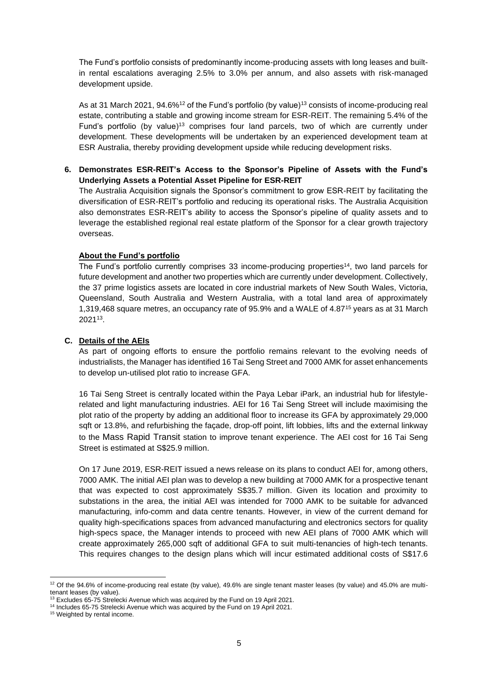The Fund's portfolio consists of predominantly income-producing assets with long leases and builtin rental escalations averaging 2.5% to 3.0% per annum, and also assets with risk-managed development upside.

As at 31 March 2021, 94.6%<sup>12</sup> of the Fund's portfolio (by value)<sup>13</sup> consists of income-producing real estate, contributing a stable and growing income stream for ESR-REIT. The remaining 5.4% of the Fund's portfolio (by value)<sup>13</sup> comprises four land parcels, two of which are currently under development. These developments will be undertaken by an experienced development team at ESR Australia, thereby providing development upside while reducing development risks.

#### **6. Demonstrates ESR-REIT's Access to the Sponsor's Pipeline of Assets with the Fund's Underlying Assets a Potential Asset Pipeline for ESR-REIT**

The Australia Acquisition signals the Sponsor's commitment to grow ESR-REIT by facilitating the diversification of ESR-REIT's portfolio and reducing its operational risks. The Australia Acquisition also demonstrates ESR-REIT's ability to access the Sponsor's pipeline of quality assets and to leverage the established regional real estate platform of the Sponsor for a clear growth trajectory overseas.

#### **About the Fund's portfolio**

The Fund's portfolio currently comprises 33 income-producing properties<sup>14</sup>, two land parcels for future development and another two properties which are currently under development. Collectively, the 37 prime logistics assets are located in core industrial markets of New South Wales, Victoria, Queensland, South Australia and Western Australia, with a total land area of approximately 1,319,468 square metres, an occupancy rate of 95.9% and a WALE of 4.87<sup>15</sup> years as at 31 March 2021<sup>13</sup> .

#### **C. Details of the AEIs**

As part of ongoing efforts to ensure the portfolio remains relevant to the evolving needs of industrialists, the Manager has identified 16 Tai Seng Street and 7000 AMK for asset enhancements to develop un-utilised plot ratio to increase GFA.

16 Tai Seng Street is centrally located within the Paya Lebar iPark, an industrial hub for lifestylerelated and light manufacturing industries. AEI for 16 Tai Seng Street will include maximising the plot ratio of the property by adding an additional floor to increase its GFA by approximately 29,000 sqft or 13.8%, and refurbishing the façade, drop-off point, lift lobbies, lifts and the external linkway to the Mass Rapid Transit station to improve tenant experience. The AEI cost for 16 Tai Seng Street is estimated at S\$25.9 million.

On 17 June 2019, ESR-REIT issued a news release on its plans to conduct AEI for, among others, 7000 AMK. The initial AEI plan was to develop a new building at 7000 AMK for a prospective tenant that was expected to cost approximately S\$35.7 million. Given its location and proximity to substations in the area, the initial AEI was intended for 7000 AMK to be suitable for advanced manufacturing, info-comm and data centre tenants. However, in view of the current demand for quality high-specifications spaces from advanced manufacturing and electronics sectors for quality high-specs space, the Manager intends to proceed with new AEI plans of 7000 AMK which will create approximately 265,000 sqft of additional GFA to suit multi-tenancies of high-tech tenants. This requires changes to the design plans which will incur estimated additional costs of S\$17.6

<sup>&</sup>lt;sup>12</sup> Of the 94.6% of income-producing real estate (by value), 49.6% are single tenant master leases (by value) and 45.0% are multitenant leases (by value).

 $13$  Excludes 65-75 Strelecki Avenue which was acquired by the Fund on 19 April 2021.

<sup>&</sup>lt;sup>14</sup> Includes 65-75 Strelecki Avenue which was acquired by the Fund on 19 April 2021.

<sup>&</sup>lt;sup>15</sup> Weighted by rental income.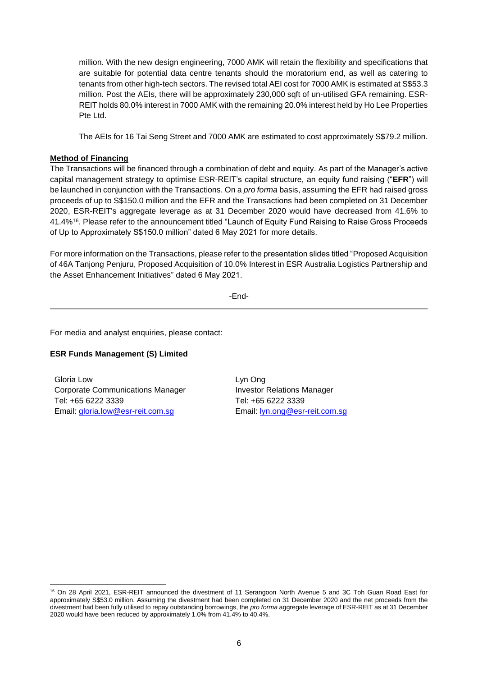million. With the new design engineering, 7000 AMK will retain the flexibility and specifications that are suitable for potential data centre tenants should the moratorium end, as well as catering to tenants from other high-tech sectors. The revised total AEI cost for 7000 AMK is estimated at S\$53.3 million. Post the AEIs, there will be approximately 230,000 sqft of un-utilised GFA remaining. ESR-REIT holds 80.0% interest in 7000 AMK with the remaining 20.0% interest held by Ho Lee Properties Pte Ltd.

The AEIs for 16 Tai Seng Street and 7000 AMK are estimated to cost approximately S\$79.2 million.

#### **Method of Financing**

The Transactions will be financed through a combination of debt and equity. As part of the Manager's active capital management strategy to optimise ESR-REIT's capital structure, an equity fund raising ("**EFR**") will be launched in conjunction with the Transactions. On a *pro forma* basis, assuming the EFR had raised gross proceeds of up to S\$150.0 million and the EFR and the Transactions had been completed on 31 December 2020, ESR-REIT's aggregate leverage as at 31 December 2020 would have decreased from 41.6% to 41.4%<sup>16</sup>. Please refer to the announcement titled "Launch of Equity Fund Raising to Raise Gross Proceeds of Up to Approximately S\$150.0 million" dated 6 May 2021 for more details.

For more information on the Transactions, please refer to the presentation slides titled "Proposed Acquisition of 46A Tanjong Penjuru, Proposed Acquisition of 10.0% Interest in ESR Australia Logistics Partnership and the Asset Enhancement Initiatives" dated 6 May 2021.

-End-

For media and analyst enquiries, please contact:

#### **ESR Funds Management (S) Limited**

Gloria Low Corporate Communications Manager Tel: +65 6222 3339 Email: [gloria.low@esr-reit.com.sg](mailto:gloria.low@esr-reit.com.sg)

Lyn Ong Investor Relations Manager Tel: +65 6222 3339 Email: [lyn.ong@esr-reit.com.sg](mailto:lyn.ong@esr-reit.com.sg)

<sup>&</sup>lt;sup>16</sup> On 28 April 2021, ESR-REIT announced the divestment of 11 Serangoon North Avenue 5 and 3C Toh Guan Road East for approximately S\$53.0 million. Assuming the divestment had been completed on 31 December 2020 and the net proceeds from the divestment had been fully utilised to repay outstanding borrowings, the *pro forma* aggregate leverage of ESR-REIT as at 31 December 2020 would have been reduced by approximately 1.0% from 41.4% to 40.4%.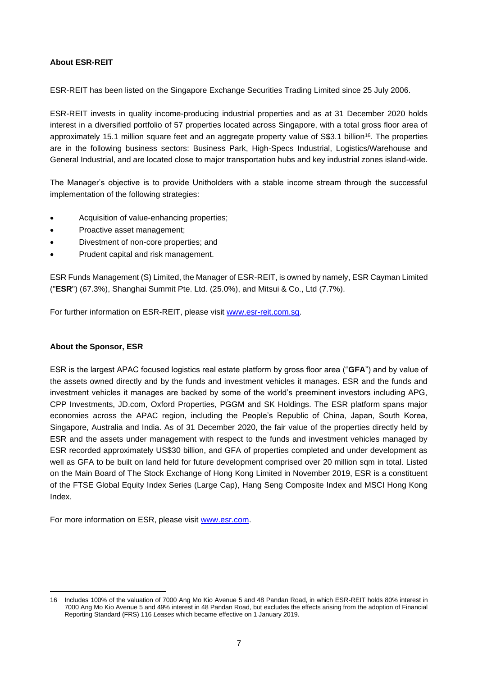### **About ESR-REIT**

ESR-REIT has been listed on the Singapore Exchange Securities Trading Limited since 25 July 2006.

ESR-REIT invests in quality income-producing industrial properties and as at 31 December 2020 holds interest in a diversified portfolio of 57 properties located across Singapore, with a total gross floor area of approximately 15.1 million square feet and an aggregate property value of S\$3.1 billion<sup>16</sup>. The properties are in the following business sectors: Business Park, High-Specs Industrial, Logistics/Warehouse and General Industrial, and are located close to major transportation hubs and key industrial zones island-wide.

The Manager's objective is to provide Unitholders with a stable income stream through the successful implementation of the following strategies:

- Acquisition of value-enhancing properties;
- Proactive asset management;
- Divestment of non-core properties; and
- Prudent capital and risk management.

ESR Funds Management (S) Limited, the Manager of ESR-REIT, is owned by namely, ESR Cayman Limited ("**ESR**") (67.3%), Shanghai Summit Pte. Ltd. (25.0%), and Mitsui & Co., Ltd (7.7%).

For further information on ESR-REIT, please visit [www.esr-reit.com.sg.](http://www.esr-reit.com.sg/)

#### **About the Sponsor, ESR**

ESR is the largest APAC focused logistics real estate platform by gross floor area ("**GFA**") and by value of the assets owned directly and by the funds and investment vehicles it manages. ESR and the funds and investment vehicles it manages are backed by some of the world's preeminent investors including APG, CPP Investments, JD.com, Oxford Properties, PGGM and SK Holdings. The ESR platform spans major economies across the APAC region, including the People's Republic of China, Japan, South Korea, Singapore, Australia and India. As of 31 December 2020, the fair value of the properties directly held by ESR and the assets under management with respect to the funds and investment vehicles managed by ESR recorded approximately US\$30 billion, and GFA of properties completed and under development as well as GFA to be built on land held for future development comprised over 20 million sqm in total. Listed on the Main Board of The Stock Exchange of Hong Kong Limited in November 2019, ESR is a constituent of the FTSE Global Equity Index Series (Large Cap), Hang Seng Composite Index and MSCI Hong Kong Index.

For more information on ESR, please visit [www.esr.com.](https://apc01.safelinks.protection.outlook.com/?url=http%3A%2F%2Fwww.esr.com&data=02%7C01%7Cgloria.low%40esr-reit.com.sg%7Cb18ed7da682643de8b7008d766916f05%7C6ed733c0622d401d8f49b2984c7d765f%7C0%7C0%7C637090647129612986&sdata=hiUu8gk6thHcFkbiXEp08i9y2Ux64on2c0ivRFvmSek%3D&reserved=0)

<sup>16</sup> Includes 100% of the valuation of 7000 Ang Mo Kio Avenue 5 and 48 Pandan Road, in which ESR-REIT holds 80% interest in 7000 Ang Mo Kio Avenue 5 and 49% interest in 48 Pandan Road, but excludes the effects arising from the adoption of Financial Reporting Standard (FRS) 116 *Leases* which became effective on 1 January 2019.